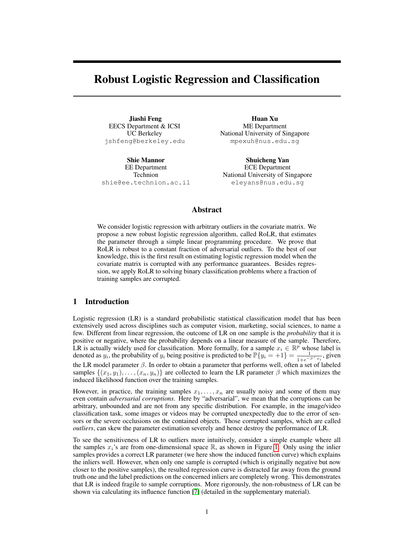# Robust Logistic Regression and Classification

Jiashi Feng EECS Department & ICSI UC Berkeley jshfeng@berkeley.edu

Shie Mannor EE Department Technion shie@ee.technion.ac.il

Huan Xu ME Department National University of Singapore mpexuh@nus.edu.sg

Shuicheng Yan ECE Department National University of Singapore eleyans@nus.edu.sg

## Abstract

We consider logistic regression with arbitrary outliers in the covariate matrix. We propose a new robust logistic regression algorithm, called RoLR, that estimates the parameter through a simple linear programming procedure. We prove that RoLR is robust to a constant fraction of adversarial outliers. To the best of our knowledge, this is the first result on estimating logistic regression model when the covariate matrix is corrupted with any performance guarantees. Besides regression, we apply RoLR to solving binary classification problems where a fraction of training samples are corrupted.

## 1 Introduction

Logistic regression (LR) is a standard probabilistic statistical classification model that has been extensively used across disciplines such as computer vision, marketing, social sciences, to name a few. Different from linear regression, the outcome of LR on one sample is the *probability* that it is positive or negative, where the probability depends on a linear measure of the sample. Therefore, LR is actually widely used for classification. More formally, for a sample  $x_i \in \mathbb{R}^p$  whose label is denoted as  $y_i$ , the probability of  $y_i$  being positive is predicted to be  $\mathbb{P}\{y_i = +1\} = \frac{1}{1+e^{-\beta} \tau_{x_i}}$ , given the LR model parameter  $\beta$ . In order to obtain a parameter that performs well, often a set of labeled samples  $\{(x_1, y_1), \ldots, (x_n, y_n)\}\$ are collected to learn the LR parameter  $\beta$  which maximizes the induced likelihood function over the training samples.

However, in practice, the training samples  $x_1, \ldots, x_n$  are usually noisy and some of them may even contain *adversarial corruptions*. Here by "adversarial", we mean that the corruptions can be arbitrary, unbounded and are not from any specific distribution. For example, in the image/video classification task, some images or videos may be corrupted unexpectedly due to the error of sensors or the severe occlusions on the contained objects. Those corrupted samples, which are called *outliers*, can skew the parameter estimation severely and hence destroy the performance of LR.

To see the sensitiveness of LR to outliers more intuitively, consider a simple example where all the samples  $x_i$ 's are from one-dimensional space R, as shown in Figure 1. Only using the inlier samples provides a correct LR parameter (we here show the induced function curve) which explains the inliers well. However, when only one sample is corrupted (which is originally negative but now closer to the positive samples), the resulted regression curve is distracted far away from the ground truth one and the label predictions on the concerned inliers are completely wrong. This demonstrates that LR is indeed fragile to sample corruptions. More rigorously, the non-robustness of LR can be shown via calculating its influence function [7] (detailed in the supplementary material).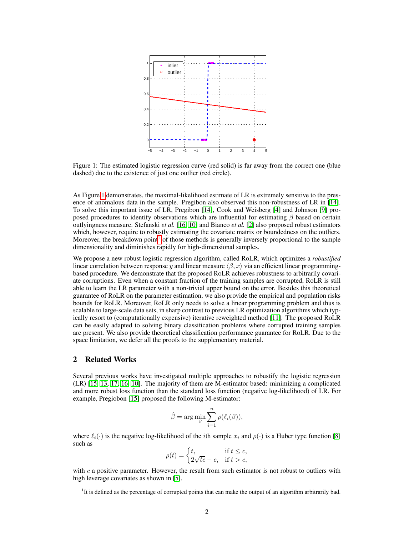

Figure 1: The estimated logistic regression curve (red solid) is far away from the correct one (blue dashed) due to the existence of just one outlier (red circle).

As Figure 1 demonstrates, the maximal-likelihood estimate of LR is extremely sensitive to the presence of anomalous data in the sample. Pregibon also observed this non-robustness of LR in [14]. To solve this important issue of LR, Pregibon [14], Cook and Weisberg [4] and Johnson [9] proposed procedures to identify observations which are influential for estimating  $\beta$  based on certain outlyingness measure. Stefanski *et al.* [16, 10] and Bianco *et al.* [2] also proposed robust estimators which, however, require to robustly estimating the covariate matrix or boundedness on the outliers. Moreover, the breakdown point<sup>1</sup> of those methods is generally inversely proportional to the sample dimensionality and diminishes rapidly for high-dimensional samples.

We propose a new robust logistic regression algorithm, called RoLR, which optimizes a *robustified* linear correlation between response y and linear measure  $\langle \beta, x \rangle$  via an efficient linear programmingbased procedure. We demonstrate that the proposed RoLR achieves robustness to arbitrarily covariate corruptions. Even when a constant fraction of the training samples are corrupted, RoLR is still able to learn the LR parameter with a non-trivial upper bound on the error. Besides this theoretical guarantee of RoLR on the parameter estimation, we also provide the empirical and population risks bounds for RoLR. Moreover, RoLR only needs to solve a linear programming problem and thus is scalable to large-scale data sets, in sharp contrast to previous LR optimization algorithms which typically resort to (computationally expensive) iterative reweighted method [11]. The proposed RoLR can be easily adapted to solving binary classification problems where corrupted training samples are present. We also provide theoretical classification performance guarantee for RoLR. Due to the space limitation, we defer all the proofs to the supplementary material.

## 2 Related Works

Several previous works have investigated multiple approaches to robustify the logistic regression (LR) [15, 13, 17, 16, 10]. The majority of them are M-estimator based: minimizing a complicated and more robust loss function than the standard loss function (negative log-likelihood) of LR. For example, Pregiobon [15] proposed the following M-estimator:

$$
\hat{\beta} = \arg\min_{\beta} \sum_{i=1}^{n} \rho(\ell_i(\beta)),
$$

where  $\ell_i(\cdot)$  is the negative log-likelihood of the *i*th sample  $x_i$  and  $\rho(\cdot)$  is a Huber type function [8] such as

$$
\rho(t) = \begin{cases} t, & \text{if } t \le c, \\ 2\sqrt{tc} - c, & \text{if } t > c, \end{cases}
$$

with  $c$  a positive parameter. However, the result from such estimator is not robust to outliers with high leverage covariates as shown in [5].

<sup>&</sup>lt;sup>1</sup>It is defined as the percentage of corrupted points that can make the output of an algorithm arbitrarily bad.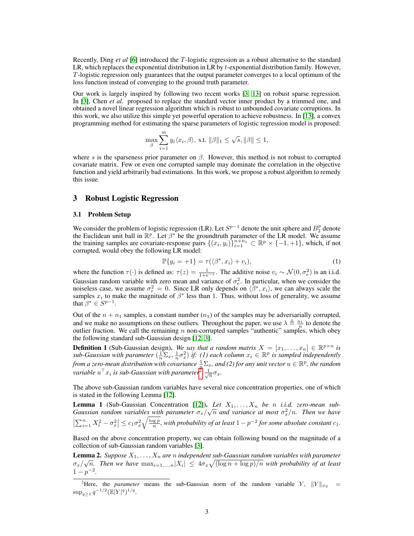Recently, Ding *et al* [6] introduced the T-logistic regression as a robust alternative to the standard LR, which replaces the exponential distribution in LR by t-exponential distribution family. However, T-logistic regression only guarantees that the output parameter converges to a local optimum of the loss function instead of converging to the ground truth parameter.

Our work is largely inspired by following two recent works [3, 13] on robust sparse regression. In [3], Chen *et al.* proposed to replace the standard vector inner product by a trimmed one, and obtained a novel linear regression algorithm which is robust to unbounded covariate corruptions. In this work, we also utilize this simple yet powerful operation to achieve robustness. In [13], a convex programming method for estimating the sparse parameters of logistic regression model is proposed:

$$
\max_{\beta} \sum_{i=1}^{m} y_i \langle x_i, \beta \rangle, \text{ s.t. } ||\beta||_1 \leq \sqrt{s}, ||\beta|| \leq 1,
$$

where s is the sparseness prior parameter on  $\beta$ . However, this method is not robust to corrupted covariate matrix. Few or even one corrupted sample may dominate the correlation in the objective function and yield arbitrarily bad estimations. In this work, we propose a robust algorithm to remedy this issue.

## 3 Robust Logistic Regression

#### 3.1 Problem Setup

We consider the problem of logistic regression (LR). Let  $S^{p-1}$  denote the unit sphere and  $B_2^p$  denote the Euclidean unit ball in  $\mathbb{R}^p$ . Let  $\beta^*$  be the groundtruth parameter of the LR model. We assume the training samples are covariate-response pairs  $\{(x_i, y_i)\}_{i=1}^{n+n_1} \subset \mathbb{R}^p \times \{-1, +1\}$ , which, if not corrupted, would obey the following LR model:

$$
\mathbb{P}\{y_i = +1\} = \tau(\langle \beta^*, x_i \rangle + v_i),\tag{1}
$$

where the function  $\tau(\cdot)$  is defined as:  $\tau(z) = \frac{1}{1+e^{-z}}$ . The additive noise  $v_i \sim \mathcal{N}(0, \sigma_e^2)$  is an i.i.d. Gaussian random variable with zero mean and variance of  $\sigma_e^2$ . In particular, when we consider the noiseless case, we assume  $\sigma_e^2 = 0$ . Since LR only depends on  $\langle \beta^*, x_i \rangle$ , we can always scale the samples  $x_i$  to make the magnitude of  $\beta^*$  less than 1. Thus, without loss of generality, we assume that  $\beta^* \in S^{p-1}$ .

Out of the  $n + n_1$  samples, a constant number  $(n_1)$  of the samples may be adversarially corrupted, and we make no assumptions on these outliers. Throughout the paper, we use  $\lambda \triangleq \frac{n_1}{n_1}$  to denote the outlier fraction. We call the remaining *n* non-corrupted samples "authentic" samples, which obey the following standard sub-Gaussian design [12, 3].

**Definition 1** (Sub-Gaussian design). We say that a random matrix  $X = [x_1, \ldots, x_n] \in \mathbb{R}^{p \times n}$  is  $sub-Gaussian$  with parameter  $(\frac{1}{n}\Sigma_x, \frac{1}{n}\sigma_x^2)$  if: (1) each column  $x_i \in \mathbb{R}^p$  is sampled independently *from a zero-mean distribution with covariance*  $\frac{1}{n}\Sigma_x$ , and (2) for any unit vector  $u \in \mathbb{R}^p$ , the random variable  $u^\top x_i$  is sub-Gaussian with parameter<sup>2</sup>  $\frac{1}{\sqrt{n}}\sigma_x$ .

The above sub-Gaussian random variables have several nice concentration properties, one of which is stated in the following Lemma [12].

**Lemma 1** (Sub-Gaussian Concentration [12]). Let  $X_1, \ldots, X_n$  be *n i.i.d.* zero-mean sub-*Gaussian concentration*  $[12]$ , *Let*  $X_1, \ldots, X_n$  be *n i.i.d. zero-mean sub- Gaussian random variables with parameter*  $\sigma_x/\sqrt{n}$  *and variance at most*  $\sigma_x^2/n$ . Then we have  $\left|\sum_{i=1}^n X_i^2 - \sigma_x^2\right| \leq c_1 \sigma_x^2 \sqrt{\frac{\log p}{n}}$ , with probability of at least  $1 - p^{-2}$  for some absolute constant  $c_1$ .

Based on the above concentration property, we can obtain following bound on the magnitude of a collection of sub-Gaussian random variables [3].

**Lemma 2.** *Suppose*  $X_1, \ldots, X_n$  *are n independent sub-Gaussian random variables with parameter* **Example 2.** Suppose  $X_1, \ldots, X_n$  are *n* independent sub-Gaussian random variables with parameter  $\sigma_x/\sqrt{n}$ . Then we have  $\max_{i=1,\ldots,n}|X_i| \leq 4\sigma_x\sqrt{(\log n + \log p)/n}$  with probability of at least  $1-p^{-2}$ .

<sup>&</sup>lt;sup>2</sup>Here, the *parameter* means the sub-Gaussian norm of the random variable Y,  $||Y||_{\psi_2}$  =  $\sup_{q\geq 1} q^{-1/2} (\mathbb{E}|Y|^q)^{1/q}.$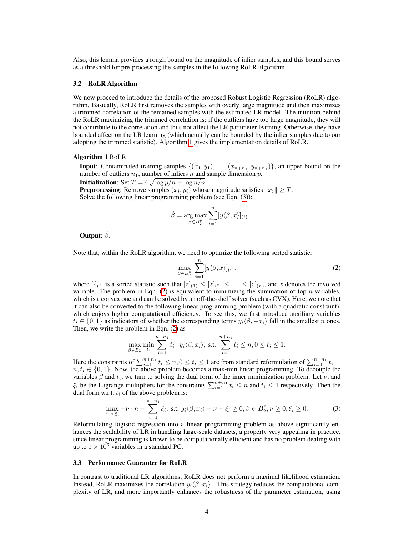Also, this lemma provides a rough bound on the magnitude of inlier samples, and this bound serves as a threshold for pre-processing the samples in the following RoLR algorithm.

#### 3.2 RoLR Algorithm

We now proceed to introduce the details of the proposed Robust Logistic Regression (RoLR) algorithm. Basically, RoLR first removes the samples with overly large magnitude and then maximizes a trimmed correlation of the remained samples with the estimated LR model. The intuition behind the RoLR maximizing the trimmed correlation is: if the outliers have too large magnitude, they will not contribute to the correlation and thus not affect the LR parameter learning. Otherwise, they have bounded affect on the LR learning (which actually can be bounded by the inlier samples due to our adopting the trimmed statistic). Algorithm 1 gives the implementation details of RoLR.

### Algorithm 1 RoLR

**Input**: Contaminated training samples  $\{(x_1, y_1), \ldots, (x_{n+n_1}, y_{n+n_1})\}$ , an upper bound on the number of outliers  $n_1$ , number of inliers n and sample dimension p.

**Initialization:** Set  $T = 4\sqrt{\log p/n + \log n/n}$ .

**Preprocessing**: Remove samples  $(x_i, y_i)$  whose magnitude satisfies  $||x_i|| \geq T$ . Solve the following linear programming problem (see Eqn. (3)):

$$
\hat{\beta} = \underset{\beta \in B_2^p}{\arg \max} \sum_{i=1}^n [y \langle \beta, x \rangle]_{(i)}.
$$

Output:  $\hat{\beta}$ .

Note that, within the RoLR algorithm, we need to optimize the following sorted statistic:

$$
\max_{\beta \in B_2^p} \sum_{i=1}^n [y \langle \beta, x \rangle]_{(i)}.
$$
\n(2)

where  $[\cdot]_{(i)}$  is a sorted statistic such that  $[z]_{(1)} \leq [z]_{(2)} \leq \ldots \leq [z]_{(n)}$ , and z denotes the involved variable. The problem in Eqn. (2) is equivalent to minimizing the summation of top  $n$  variables, which is a convex one and can be solved by an off-the-shelf solver (such as CVX). Here, we note that it can also be converted to the following linear programming problem (with a quadratic constraint), which enjoys higher computational efficiency. To see this, we first introduce auxiliary variables  $t_i \in \{0,1\}$  as indicators of whether the corresponding terms  $y_i(\beta, -x_i)$  fall in the smallest n ones. Then, we write the problem in Eqn. (2) as

$$
\max_{\beta \in B_2^p} \min_{t_i} \sum_{i=1}^{n+n_1} t_i \cdot y_i \langle \beta, x_i \rangle
$$
, s.t. 
$$
\sum_{i=1}^{n+n_1} t_i \le n, 0 \le t_i \le 1.
$$

Here the constraints of  $\sum_{i=1}^{n+n_1} t_i \leq n, 0 \leq t_i \leq 1$  are from standard reformulation of  $\sum_{i=1}^{n+n_1} t_i =$  $n, t_i \in \{0, 1\}$ . Now, the above problem becomes a max-min linear programming. To decouple the variables  $\beta$  and  $t_i$ , we turn to solving the dual form of the inner minimization problem. Let  $\nu$ , and  $\xi_i$  be the Lagrange multipliers for the constraints  $\sum_{i=1}^{n+n_1} t_i \leq n$  and  $t_i \leq 1$  respectively. Then the dual form w.r.t.  $t_i$  of the above problem is:

$$
\max_{\beta,\nu,\xi_i} -\nu \cdot n - \sum_{i=1}^{n+n_1} \xi_i, \text{ s.t. } y_i \langle \beta, x_i \rangle + \nu + \xi_i \ge 0, \beta \in B_2^p, \nu \ge 0, \xi_i \ge 0. \tag{3}
$$

Reformulating logistic regression into a linear programming problem as above significantly enhances the scalability of LR in handling large-scale datasets, a property very appealing in practice, since linear programming is known to be computationally efficient and has no problem dealing with up to  $1 \times 10^6$  variables in a standard PC.

#### 3.3 Performance Guarantee for RoLR

In contrast to traditional LR algorithms, RoLR does not perform a maximal likelihood estimation. Instead, RoLR maximizes the correlation  $y_i\langle\beta, x_i\rangle$ . This strategy reduces the computational complexity of LR, and more importantly enhances the robustness of the parameter estimation, using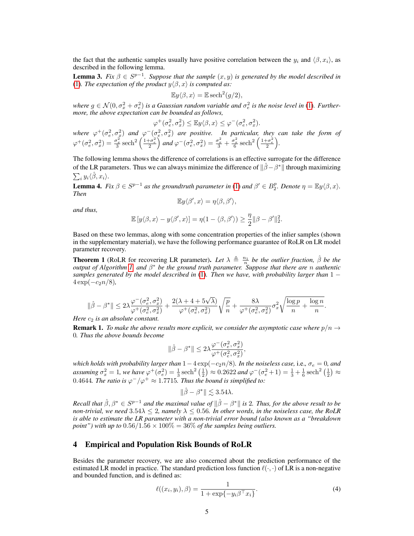the fact that the authentic samples usually have positive correlation between the  $y_i$  and  $\langle \beta, x_i \rangle$ , as described in the following lemma.

**Lemma 3.** *Fix*  $\beta \in S^{p-1}$ *. Suppose that the sample*  $(x, y)$  *is generated by the model described in* (1). The expectation of the product  $y\langle \beta, x \rangle$  is computed as:

$$
\mathbb{E}y\langle \beta, x \rangle = \mathbb{E} \operatorname{sech}^2(g/2),
$$

where  $g \in \mathcal{N}(0, \sigma_x^2 + \sigma_e^2)$  is a Gaussian random variable and  $\sigma_e^2$  is the noise level in (1). Further*more, the above expectation can be bounded as follows,*

$$
\varphi^+(\sigma_e^2, \sigma_x^2) \le \mathbb{E} y \langle \beta, x \rangle \le \varphi^-(\sigma_e^2, \sigma_x^2).
$$

where  $\varphi^+(\sigma_e^2, \sigma_x^2)$  and  $\varphi^-(\sigma_e^2, \sigma_x^2)$  are positive. In particular, they can take the form of  $\varphi^+(\sigma_e^2, \sigma_x^2) = \frac{\sigma_x^2}{3} \operatorname{sech}^2\left(\frac{1+\sigma_e^2}{2}\right)$  and  $\varphi^-(\sigma_e^2, \sigma_x^2) = \frac{\sigma_x^2}{3} + \frac{\sigma_x^2}{6} \operatorname{sech}^2\left(\frac{1+\sigma_e^2}{2}\right)$ .

The following lemma shows the difference of correlations is an effective surrogate for the difference of the LR parameters. Thus we can always minimize the difference of  $\|\hat{\beta}-\beta^*\|$  through maximizing  $\sum_i y_i \langle \hat{\beta}, x_i \rangle.$ 

**Lemma 4.** *Fix*  $\beta \in S^{p-1}$  *as the groundtruth parameter in* (1) *and*  $\beta' \in B_2^p$ . *Denote*  $\eta = \mathbb{E}y\langle \beta, x \rangle$ *. Then*

$$
\mathbb{E}y\langle \beta', x \rangle = \eta \langle \beta, \beta' \rangle,
$$

*and thus,*

$$
\mathbb{E}\left[y\langle \beta, x\rangle - y\langle \beta', x\rangle\right] = \eta(1 - \langle \beta, \beta'\rangle) \ge \frac{\eta}{2} ||\beta - \beta'||_2^2.
$$

Based on these two lemmas, along with some concentration properties of the inlier samples (shown in the supplementary material), we have the following performance guarantee of RoLR on LR model parameter recovery.

**Theorem 1** (RoLR for recovering LR parameter). Let  $\lambda \triangleq \frac{n_1}{n}$  be the outlier fraction,  $\hat{\beta}$  be the *output of Algorithm 1, and*  $\beta^*$  *be the ground truth parameter.* Suppose that there are n authentic *samples generated by the model described in* (1)*. Then we have, with probability larger than* 1 −  $4 \exp(-c_2 n/8)$ ,

$$
\|\hat{\beta}-\beta^*\| \leq 2\lambda \frac{\varphi^-(\sigma_e^2,\sigma_x^2)}{\varphi^+(\sigma_e^2,\sigma_x^2)} + \frac{2(\lambda+4+5\sqrt{\lambda})}{\varphi^+(\sigma_e^2,\sigma_x^2)}\sqrt{\frac{p}{n}} + \frac{8\lambda}{\varphi^+(\sigma_e^2,\sigma_x^2)}\sigma_x^2\sqrt{\frac{\log p}{n} + \frac{\log n}{n}}.
$$

*Here*  $c_2$  *is an absolute constant.* 

**Remark 1.** *To make the above results more explicit, we consider the asymptotic case where*  $p/n \rightarrow$ 0*. Thus the above bounds become*

$$
\|\hat{\beta}-\beta^*\| \leq 2\lambda \frac{\varphi^-(\sigma_e^2,\sigma_x^2)}{\varphi^+(\sigma_e^2,\sigma_x^2)},
$$

*which holds with probability larger than*  $1-4 \exp(-c_2 n/8)$ *. In the noiseless case,* i.e.,  $\sigma_e = 0$ *, and* assuming  $\sigma_x^2 = 1$ , we have  $\varphi^+(\sigma_e^2) = \frac{1}{3} \operatorname{sech}^2\left(\frac{1}{2}\right) \approx 0.2622$  and  $\varphi^-(\sigma_e^2 + 1) = \frac{1}{3} + \frac{1}{6} \operatorname{sech}^2\left(\frac{1}{2}\right) \approx$ 0.4644*. The ratio is*  $\varphi^{-}/\varphi^{+} \approx 1.7715$ *. Thus the bound is simplified to:* 

$$
\|\hat{\beta} - \beta^*\| \lesssim 3.54\lambda.
$$

*Recall that*  $\hat{\beta}, \beta^* \in S^{p-1}$  *and the maximal value of*  $\|\hat{\beta} - \beta^*\|$  *is* 2. *Thus, for the above result to be non-trivial, we need*  $3.54\lambda \leq 2$ *, namely*  $\lambda \leq 0.56$ *. In other words, in the noiseless case, the RoLR is able to estimate the LR parameter with a non-trivial error bound (also known as a "breakdown point") with up to*  $0.56/1.56 \times 100\% = 36\%$  *of the samples being outliers.* 

## 4 Empirical and Population Risk Bounds of RoLR

Besides the parameter recovery, we are also concerned about the prediction performance of the estimated LR model in practice. The standard prediction loss function  $\ell(\cdot, \cdot)$  of LR is a non-negative and bounded function, and is defined as:

$$
\ell((x_i, y_i), \beta) = \frac{1}{1 + \exp\{-y_i \beta^\top x_i\}}.\tag{4}
$$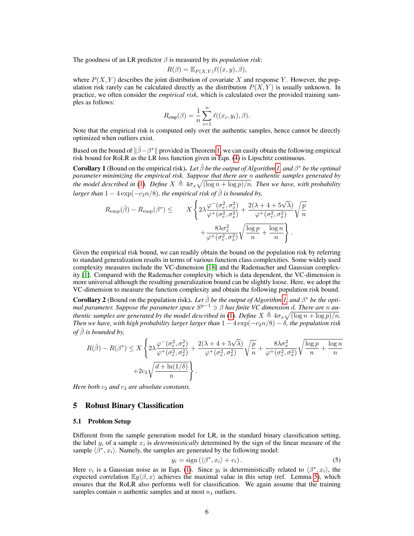The goodness of an LR predictor  $\beta$  is measured by its *population risk*:

$$
R(\beta) = \mathbb{E}_{P(X,Y)} \ell((x,y), \beta),
$$

where  $P(X, Y)$  describes the joint distribution of covariate X and response Y. However, the population risk rarely can be calculated directly as the distribution  $P(X, Y)$  is usually unknown. In practice, we often consider the *empirical risk*, which is calculated over the provided training samples as follows:

$$
R_{\text{emp}}(\beta) = \frac{1}{n} \sum_{i=1}^{n} \ell((x_i, y_i), \beta).
$$

Note that the empirical risk is computed only over the authentic samples, hence cannot be directly optimized when outliers exist.

Based on the bound of  $\|\hat{\beta}-\beta^*\|$  provided in Theorem 1, we can easily obtain the following empirical risk bound for RoLR as the LR loss function given in Eqn. (4) is Lipschitz continuous.

**Corollary 1** (Bound on the empirical risk). Let  $\hat{\beta}$  be the output of Algorithm 1, and  $\beta^*$  be the optimal *parameter minimizing the empirical risk. Suppose that there are* n *authentic samples generated by* the model described in (1). Define  $X \triangleq 4\sigma_x\sqrt{(\log n + \log p)/n}$ . Then we have, with probability *larger than*  $1 - 4 \exp(-c_2 n/8)$ *, the empirical risk of*  $\hat{\beta}$  *is bounded by,* 

$$
R_{\text{emp}}(\hat{\beta}) - R_{\text{emp}}(\beta^*) \leq \qquad X \left\{ 2\lambda \frac{\varphi^-(\sigma_e^2, \sigma_x^2)}{\varphi^+(\sigma_e^2, \sigma_x^2)} + \frac{2(\lambda + 4 + 5\sqrt{\lambda})}{\varphi^+(\sigma_e^2, \sigma_x^2)} \sqrt{\frac{p}{n}} + \frac{8\lambda \sigma_x^2}{\varphi^+(\sigma_e^2, \sigma_x^2)} \sqrt{\frac{\log p}{n} + \frac{\log n}{n}} \right\}.
$$

Given the empirical risk bound, we can readily obtain the bound on the population risk by referring to standard generalization results in terms of various function class complexities. Some widely used complexity measures include the VC-dimension [18] and the Rademacher and Gaussian complexity [1]. Compared with the Rademacher complexity which is data dependent, the VC-dimension is more universal although the resulting generalization bound can be slightly loose. Here, we adopt the VC-dimension to measure the function complexity and obtain the following population risk bound.

**Corollary 2** (Bound on the population risk). Let  $\hat{\beta}$  be the output of Algorithm 1, and  $\beta^*$  be the opti*mal parameter. Suppose the parameter space*  $S^{p-1}$  ∋ *β has finite VC dimension d. There are n authentic samples are generated by the model described in* (1). Define  $X \triangleq 4\sigma_x \sqrt{(\log n + \log p)/n}$ . *Then we have, with high probability larger larger than*  $1 - 4 \exp(-c_2 n/8) - \delta$ , the population risk *of*  $\hat{\beta}$  *is bounded by,* 

$$
R(\hat{\beta}) - R(\beta^*) \le X \left\{ 2\lambda \frac{\varphi^-(\sigma_e^2, \sigma_x^2)}{\varphi^+(\sigma_e^2, \sigma_x^2)} + \frac{2(\lambda + 4 + 5\sqrt{\lambda})}{\varphi^+(\sigma_e^2, \sigma_x^2)} \sqrt{\frac{p}{n}} + \frac{8\lambda\sigma_x^2}{\varphi^+(\sigma_e^2, \sigma_x^2)} \sqrt{\frac{\log p}{n}} + \frac{\log n}{n} + 2c_3 \sqrt{\frac{d + \ln(1/\delta)}{n}} \right\}.
$$

*Here both*  $c_2$  *and*  $c_3$  *are absolute constants.* 

## 5 Robust Binary Classification

#### 5.1 Problem Setup

Different from the sample generation model for LR, in the standard binary classification setting, the label  $y_i$  of a sample  $x_i$  is *deterministically* determined by the sign of the linear measure of the sample  $\langle \beta^*, x_i \rangle$ . Namely, the samples are generated by the following model:

$$
y_i = \text{sign}\left(\langle \beta^*, x_i \rangle + v_i\right). \tag{5}
$$

Here  $v_i$  is a Gaussian noise as in Eqn. (1). Since  $y_i$  is deterministically related to  $\langle \beta^*, x_i \rangle$ , the expected correlation  $\mathbb{E} y \langle \beta, x \rangle$  achieves the maximal value in this setup (ref. Lemma 5), which ensures that the RoLR also performs well for classification. We again assume that the training samples contain  $n$  authentic samples and at most  $n_1$  outliers.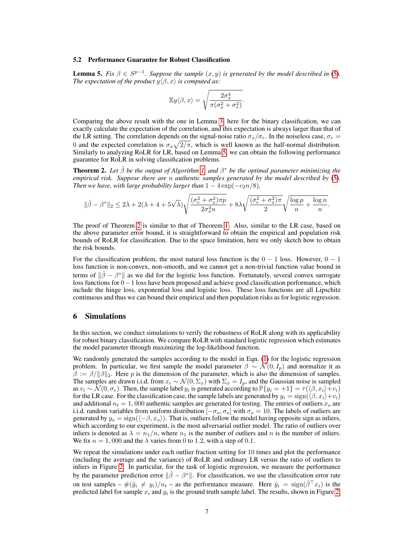#### 5.2 Performance Guarantee for Robust Classification

**Lemma 5.** *Fix*  $\beta \in S^{p-1}$ *. Suppose the sample*  $(x, y)$  *is generated by the model described in* (5)*. The expectation of the product*  $y(\beta, x)$  *is computed as:* 

$$
\mathbb{E}y\langle\beta,x\rangle = \sqrt{\frac{2\sigma_x^4}{\pi(\sigma_x^2 + \sigma_v^2)}}.
$$

Comparing the above result with the one in Lemma 3, here for the binary classification, we can exactly calculate the expectation of the correlation, and this expectation is always larger than that of the LR setting. The correlation depends on the signal-noise ratio  $\sigma_x/\sigma_e$ . In the noiseless case,  $\sigma_e$  = 0 and the expected correlation is  $\sigma_x \sqrt{2/\pi}$ , which is well known as the half-normal distribution. Similarly to analyzing RoLR for LR, based on Lemma 5, we can obtain the following performance guarantee for RoLR in solving classification problems.

**Theorem 2.** Let  $\hat{\beta}$  be the output of Algorithm 1, and  $\beta^*$  be the optimal parameter minimizing the *empirical risk. Suppose there are* n *authentic samples generated by the model described by* (5)*. Then we have, with large probability larger than*  $1 - 4 \exp(-c_2 n/8)$ *,* 

$$
\|\hat{\beta}-\beta^*\|_2 \leq 2\lambda + 2(\lambda + 4 + 5\sqrt{\lambda})\sqrt{\frac{(\sigma_e^2 + \sigma_x^2)\pi p}{2\sigma_x^4 n}} + 8\lambda\sqrt{\frac{(\sigma_e^2 + \sigma_x^2)\pi}{2}}\sqrt{\frac{\log p}{n} + \frac{\log n}{n}}.
$$

The proof of Theorem 2 is similar to that of Theorem 1. Also, similar to the LR case, based on the above parameter error bound, it is straightforward to obtain the empirical and population risk bounds of RoLR for classification. Due to the space limitation, here we only sketch how to obtain the risk bounds.

For the classification problem, the most natural loss function is the  $0 - 1$  loss. However,  $0 - 1$ loss function is non-convex, non-smooth, and we cannot get a non-trivial function value bound in terms of  $\|\hat{\beta} - \beta^*\|$  as we did for the logistic loss function. Fortunately, several convex surrogate loss functions for 0−1 loss have been proposed and achieve good classification performance, which include the hinge loss, exponential loss and logistic loss. These loss functions are all Lipschitz continuous and thus we can bound their empirical and then population risks as for logistic regression.

# 6 Simulations

In this section, we conduct simulations to verify the robustness of RoLR along with its applicability for robust binary classification. We compare RoLR with standard logistic regression which estimates the model parameter through maximizing the log-likelihood function.

We randomly generated the samples according to the model in Eqn. (1) for the logistic regression problem. In particular, we first sample the model parameter  $\beta \sim \mathcal{N}(0, I_p)$  and normalize it as  $\beta := \beta / ||\beta||_2$ . Here p is the dimension of the parameter, which is also the dimension of samples. The samples are drawn i.i.d. from  $x_i \sim \mathcal{N}(0, \Sigma_x)$  with  $\Sigma_x = I_p$ , and the Gaussian noise is sampled as  $v_i \sim \mathcal{N}(0, \sigma_e)$ . Then, the sample label  $y_i$  is generated according to  $\mathbb{P}\{y_i = +1\} = \tau(\langle \beta, x_i \rangle + v_i)$ for the LR case. For the classification case, the sample labels are generated by  $y_i = sign(\langle \beta, x_i \rangle + v_i)$ and additional  $n_t = 1,000$  authentic samples are generated for testing. The entries of outliers  $x_o$  are i.i.d. random variables from uniform distribution  $[-\sigma_o, \sigma_o]$  with  $\sigma_o = 10$ . The labels of outliers are generated by  $y_o = sign(\langle -\beta, x_o \rangle)$ . That is, outliers follow the model having opposite sign as inliers, which according to our experiment, is the most adversarial outlier model. The ratio of outliers over inliers is denoted as  $\lambda = n_1/n$ , where  $n_1$  is the number of outliers and n is the number of inliers. We fix  $n = 1,000$  and the  $\lambda$  varies from 0 to 1.2, with a step of 0.1.

We repeat the simulations under each outlier fraction setting for 10 times and plot the performance (including the average and the variance) of RoLR and ordinary LR versus the ratio of outliers to inliers in Figure 2. In particular, for the task of logistic regression, we measure the performance by the parameter prediction error  $\|\hat{\beta} - \beta^*\|$ . For classification, we use the classification error rate on test samples –  $\#(\hat{y}_i \neq y_i)/n_t$  – as the performance measure. Here  $\hat{y}_i = \text{sign}(\hat{\beta}^\top x_i)$  is the predicted label for sample  $x_i$  and  $y_i$  is the ground truth sample label. The results, shown in Figure 2,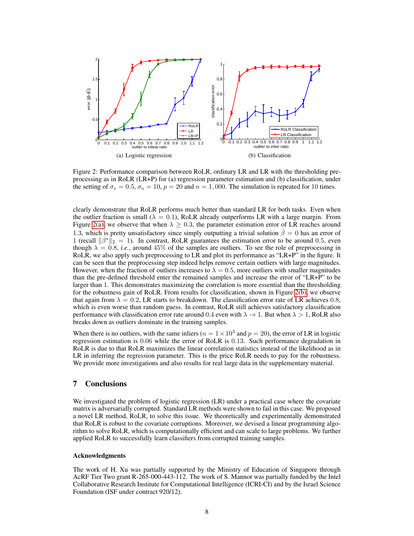

Figure 2: Performance comparison between RoLR, ordinary LR and LR with the thresholding preprocessing as in RoLR (LR+P) for (a) regression parameter estimation and (b) classification, under the setting of  $\sigma_e = 0.5$ ,  $\sigma_o = 10$ ,  $p = 20$  and  $n = 1,000$ . The simulation is repeated for 10 times.

clearly demonstrate that RoLR performs much better than standard LR for both tasks. Even when the outlier fraction is small ( $\lambda = 0.1$ ), RoLR already outperforms LR with a large margin. From Figure 2(a), we observe that when  $\lambda \geq 0.3$ , the parameter estimation error of LR reaches around 1.3, which is pretty unsatisfactory since simply outputting a trivial solution  $\hat{\beta} = 0$  has an error of 1 (recall  $\|\beta^*\|_2 = 1$ ). In contrast, RoLR guarantees the estimation error to be around 0.5, even though  $\lambda = 0.8$ , *i.e.*, around 45% of the samples are outliers. To see the role of preprocessing in RoLR, we also apply such preprocessing to LR and plot its performance as "LR+P" in the figure. It can be seen that the preprocessing step indeed helps remove certain outliers with large magnitudes. However, when the fraction of outliers increases to  $\lambda = 0.5$ , more outliers with smaller magnitudes than the pre-defined threshold enter the remained samples and increase the error of "LR+P" to be larger than 1. This demonstrates maximizing the correlation is more essential than the thresholding for the robustness gain of RoLR. From results for classification, shown in Figure 2(b), we observe that again from  $\lambda = 0.2$ , LR starts to breakdown. The classification error rate of LR achieves 0.8, which is even worse than random guess. In contrast, RoLR still achieves satisfactory classification performance with classification error rate around 0.4 even with  $\lambda \to 1$ . But when  $\lambda > 1$ , RoLR also breaks down as outliers dominate in the training samples.

When there is no outliers, with the same inliers ( $n = 1 \times 10^3$  and  $p = 20$ ), the error of LR in logistic regression estimation is 0.06 while the error of RoLR is 0.13. Such performance degradation in RoLR is due to that RoLR maximizes the linear correlation statistics instead of the likelihood as in LR in inferring the regression parameter. This is the price RoLR needs to pay for the robustness. We provide more investigations and also results for real large data in the supplementary material.

# 7 Conclusions

We investigated the problem of logistic regression (LR) under a practical case where the covariate matrix is adversarially corrupted. Standard LR methods were shown to fail in this case. We proposed a novel LR method, RoLR, to solve this issue. We theoretically and experimentally demonstrated that RoLR is robust to the covariate corruptions. Moreover, we devised a linear programming algorithm to solve RoLR, which is computationally efficient and can scale to large problems. We further applied RoLR to successfully learn classifiers from corrupted training samples.

#### Acknowledgments

The work of H. Xu was partially supported by the Ministry of Education of Singapore through AcRF Tier Two grant R-265-000-443-112. The work of S. Mannor was partially funded by the Intel Collaborative Research Institute for Computational Intelligence (ICRI-CI) and by the Israel Science Foundation (ISF under contract 920/12).